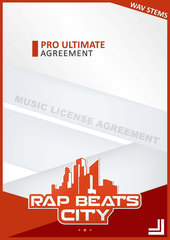# **PRO ULTIMATE AGREEMENT**

**QUE SHARE SHARE SHARE SERVE** 

WAV STEMS

RAP BEATS

MUSIC LICENSE AGREEMENT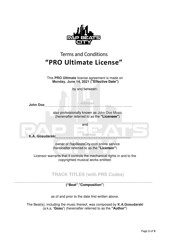| <b>Terms and Conditions</b>                                                                                   |                |
|---------------------------------------------------------------------------------------------------------------|----------------|
| "PRO Ultimate License"                                                                                        |                |
| This PRO Ultimate license agreement is made on<br>Monday, June 14, 2021 ("Effective Date")<br>by and between: |                |
| <b>John Doe</b>                                                                                               | <b>Address</b> |
| also professionally known as John Doe Music<br>(hereinafter referred to as the "Licensee")                    |                |
|                                                                                                               | and            |
| <b>K.A. Gosudarski</b>                                                                                        | <b>Address</b> |
| owner of RapBeatsCity.com online service<br>(hereinafter referred to as the "Licensor")                       |                |

Licensor warrants that it controls the mechanical rights in and to the copyrighted musical works entitled:

**TRACK TITLES (with PRS Codes)** 

 . **("Beat"**,**"Composition"**)

as of and prior to the date first written above.

The Beat(s), including the music thereof, was composed by **K.A.Gosudarski**  (a.k.a. **'Gosu'**) (hereinafter referred to as the **"Author"**)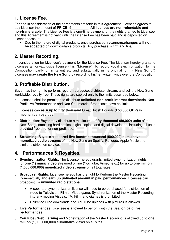## **1. License Fee.**

For and in consideration of the agreements set forth in this Agreement, Licensee agrees to pay Licensor the amount of PRICE: £\_\_\_\_\_\_\_\_\_. All licenses are non-refundable and **non-transferable**. The License Fee is a one-time payment for the rights granted to Licensee and this Agreement is not valid until the License Fee has been paid and is deposited on Licensor account.

• Due to the nature of digital products, once purchased, **returns/exchanges will not be accepted** on downloadable products. Any purchase is firm and final.

#### **2. Master Recording.**

In consideration for Licensee's payment for the License Fee, The Licensor hereby grants to Licensee a non-exclusive license (this **"License"**) to record vocal synchronization to the Composition partly or in its entirety and substantially in its original form **("New Song")**  Licensee **may create the New Song** by recording his/her written lyrics over the Composition.

## **3. Profitable Distribution.**

Buyer has the right to perform, record, reproduce, distribute, stream, and sell the New Song worldwide, royalty free. These rights are subject only to the limits described below.

- o Licensee shall be permitted to distribute **unlimited non-profit internet downloads**. Non-Profit live Performances and Non-Commercial Broadcasts have no limit.
- o Licensee can **earn up to fifty thousand** Great British Pounds **(£50,000 GBP) in mechanical royalties.**
- o **Distribution**: Buyer may distribute a maximum of **fifty thousand (50,000) units** of the New Song combining hard copies, digital copies, and digital downloads, including all units provided free and for non-profit use.
- **Streaming:** Buyer is authorized **five-hundred thousand (500,000) cumulative monetized audio streams** of the New Song on Spotify, Pandora, Apple Music and similar distribution services.

### **4. Performances & Royalties.**

- **Synchronization Rights:** The Licensor hereby grants limited synchronization rights for **one (1) music video** streamed online (YouTube, Vimeo, etc..) for up to **one million (1,000,000,000) monetized video streams** on all total sites.
- o **Broadcast Rights:** Licensee hereby has the right to Perform the Master Recording Commercially **and earn up unlimited amount in paid performances**. Licensee can broadcast via **unlimited radio stations.**
	- A separate synchronization license will need to be purchased for distribution of video to Television, Film or Video game. Synchronization of the Master Recording into any moving Visuals; TV, Film, and Games is prohibited.
	- Unlimited Free downloads and YouTube uploads with pictures is allowed.
- o **Live Performances:** Licensee is **allowed** to perform with the Beat **on paid live performances**.
- o **YouTube / Web Earning** and Monetization of the Master Recording is allowed up to **one million (1,000,000,000) cumulative views** on all sites.